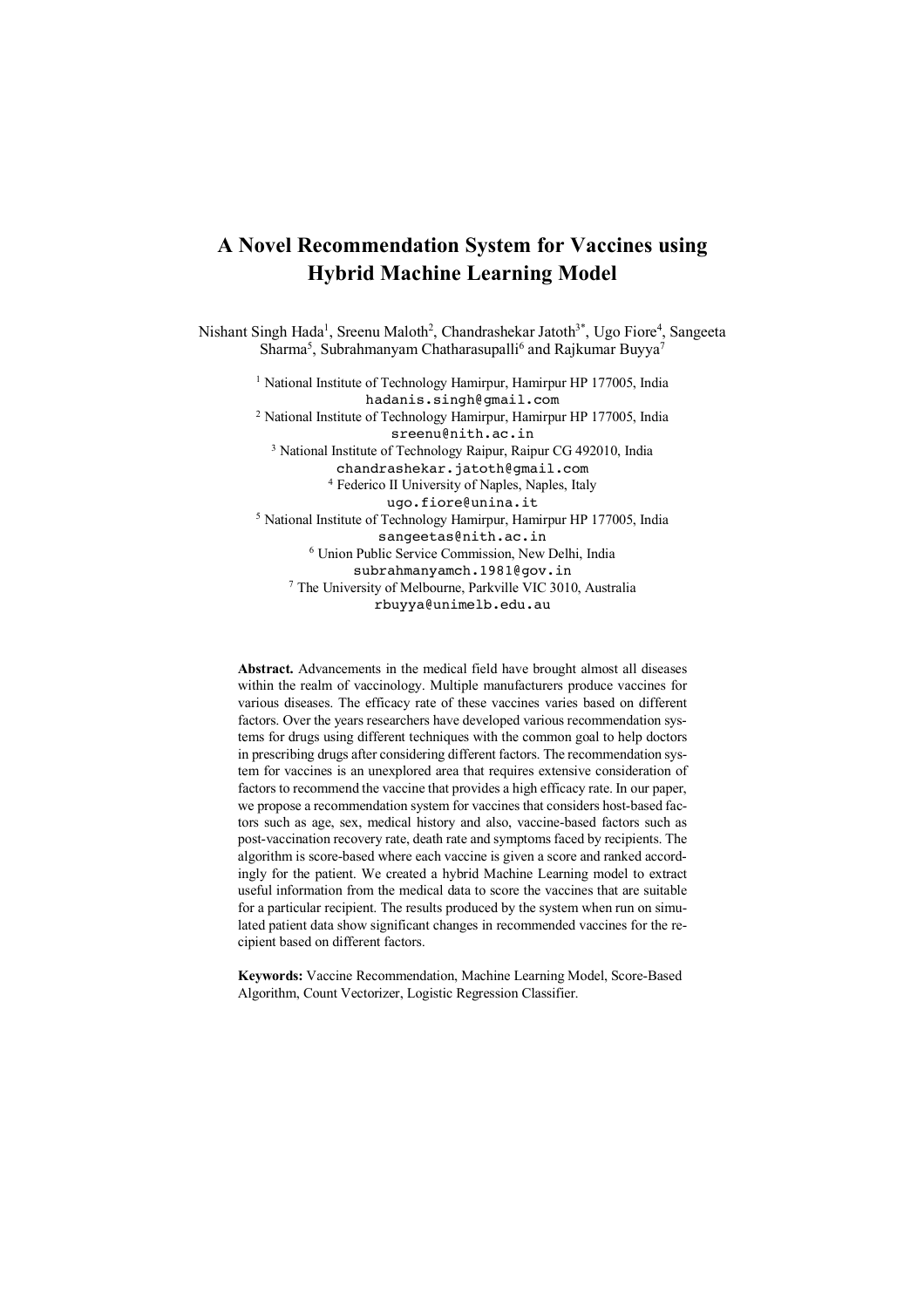# **A Novel Recommendation System for Vaccines using Hybrid Machine Learning Model**

Nishant Singh Hada<sup>1</sup>, Sreenu Maloth<sup>2</sup>, Chandrashekar Jatoth<sup>3\*</sup>, Ugo Fiore<sup>4</sup>, Sangeeta Sharma<sup>5</sup>, Subrahmanyam Chatharasupalli<sup>6</sup> and Rajkumar Buyya<sup>7</sup>

<sup>1</sup> National Institute of Technology Hamirpur, Hamirpur HP 177005, India hadanis.singh@gmail.com <sup>2</sup> National Institute of Technology Hamirpur, Hamirpur HP 177005, India sreenu@nith.ac.in <sup>3</sup> National Institute of Technology Raipur, Raipur CG 492010, India chandrashekar.jatoth@gmail.com <sup>4</sup> Federico II University of Naples, Naples, Italy ugo.fiore@unina.it <sup>5</sup> National Institute of Technology Hamirpur, Hamirpur HP 177005, India sangeetas@nith.ac.in <sup>6</sup> Union Public Service Commission, New Delhi, India subrahmanyamch.1981@gov.in <sup>7</sup> The University of Melbourne, Parkville VIC 3010, Australia rbuyya@unimelb.edu.au

**Abstract.** Advancements in the medical field have brought almost all diseases within the realm of vaccinology. Multiple manufacturers produce vaccines for various diseases. The efficacy rate of these vaccines varies based on different factors. Over the years researchers have developed various recommendation systems for drugs using different techniques with the common goal to help doctors in prescribing drugs after considering different factors. The recommendation system for vaccines is an unexplored area that requires extensive consideration of factors to recommend the vaccine that provides a high efficacy rate. In our paper, we propose a recommendation system for vaccines that considers host-based factors such as age, sex, medical history and also, vaccine-based factors such as post-vaccination recovery rate, death rate and symptoms faced by recipients. The algorithm is score-based where each vaccine is given a score and ranked accordingly for the patient. We created a hybrid Machine Learning model to extract useful information from the medical data to score the vaccines that are suitable for a particular recipient. The results produced by the system when run on simulated patient data show significant changes in recommended vaccines for the recipient based on different factors.

**Keywords:** Vaccine Recommendation, Machine Learning Model, Score-Based Algorithm, Count Vectorizer, Logistic Regression Classifier.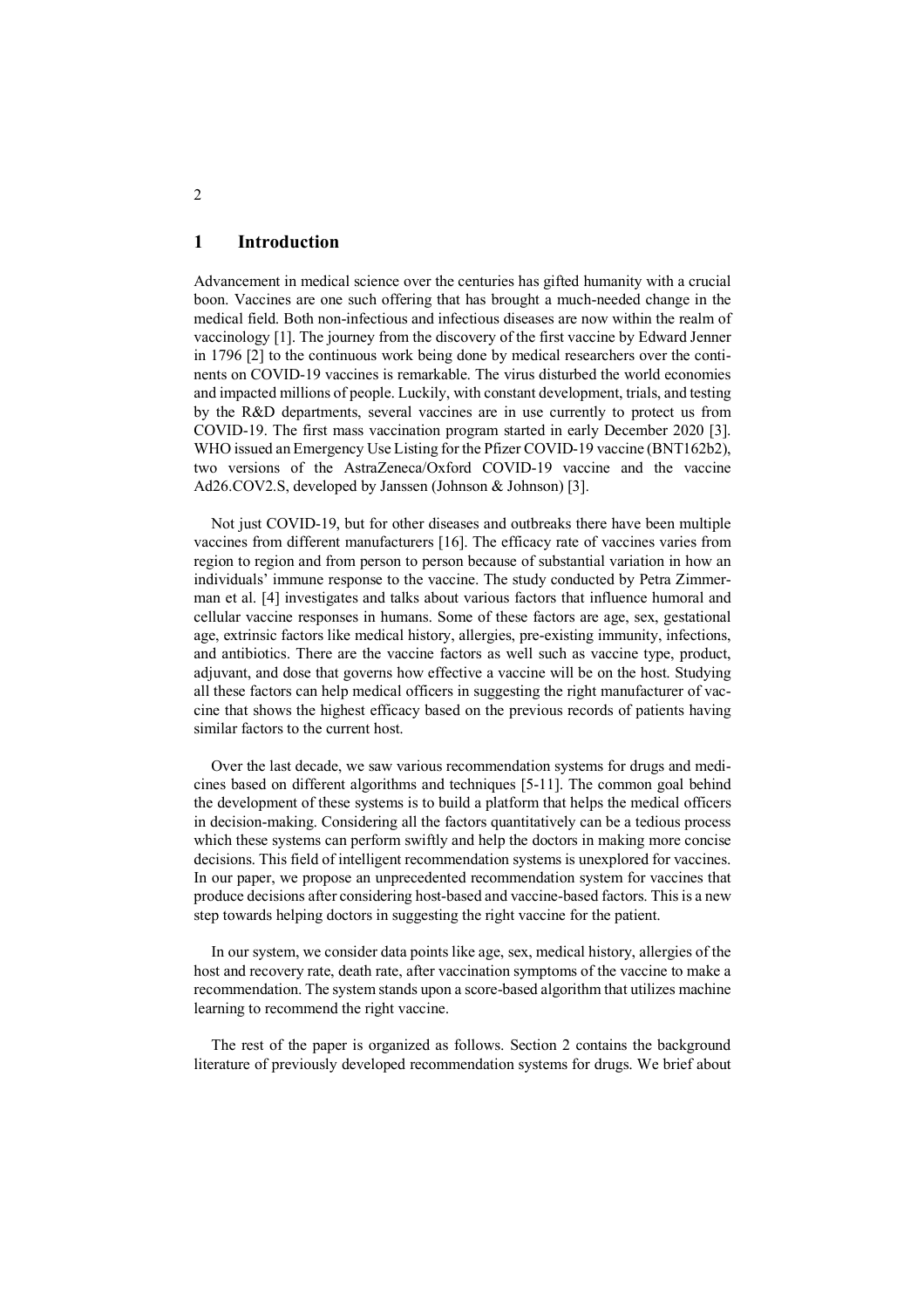## **1 Introduction**

Advancement in medical science over the centuries has gifted humanity with a crucial boon. Vaccines are one such offering that has brought a much-needed change in the medical field. Both non-infectious and infectious diseases are now within the realm of vaccinology [1]. The journey from the discovery of the first vaccine by Edward Jenner in 1796 [2] to the continuous work being done by medical researchers over the continents on COVID-19 vaccines is remarkable. The virus disturbed the world economies and impacted millions of people. Luckily, with constant development, trials, and testing by the R&D departments, several vaccines are in use currently to protect us from COVID-19. The first mass vaccination program started in early December 2020 [3]. WHO issued an Emergency Use Listing for the Pfizer COVID-19 vaccine (BNT162b2), two versions of the AstraZeneca/Oxford COVID-19 vaccine and the vaccine Ad26.COV2.S, developed by Janssen (Johnson & Johnson) [3].

Not just COVID-19, but for other diseases and outbreaks there have been multiple vaccines from different manufacturers [16]. The efficacy rate of vaccines varies from region to region and from person to person because of substantial variation in how an individuals' immune response to the vaccine. The study conducted by Petra Zimmerman et al. [4] investigates and talks about various factors that influence humoral and cellular vaccine responses in humans. Some of these factors are age, sex, gestational age, extrinsic factors like medical history, allergies, pre-existing immunity, infections, and antibiotics. There are the vaccine factors as well such as vaccine type, product, adjuvant, and dose that governs how effective a vaccine will be on the host. Studying all these factors can help medical officers in suggesting the right manufacturer of vaccine that shows the highest efficacy based on the previous records of patients having similar factors to the current host.

Over the last decade, we saw various recommendation systems for drugs and medicines based on different algorithms and techniques [5-11]. The common goal behind the development of these systems is to build a platform that helps the medical officers in decision-making. Considering all the factors quantitatively can be a tedious process which these systems can perform swiftly and help the doctors in making more concise decisions. This field of intelligent recommendation systems is unexplored for vaccines. In our paper, we propose an unprecedented recommendation system for vaccines that produce decisions after considering host-based and vaccine-based factors. This is a new step towards helping doctors in suggesting the right vaccine for the patient.

In our system, we consider data points like age, sex, medical history, allergies of the host and recovery rate, death rate, after vaccination symptoms of the vaccine to make a recommendation. The system stands upon a score-based algorithm that utilizes machine learning to recommend the right vaccine.

The rest of the paper is organized as follows. Section 2 contains the background literature of previously developed recommendation systems for drugs. We brief about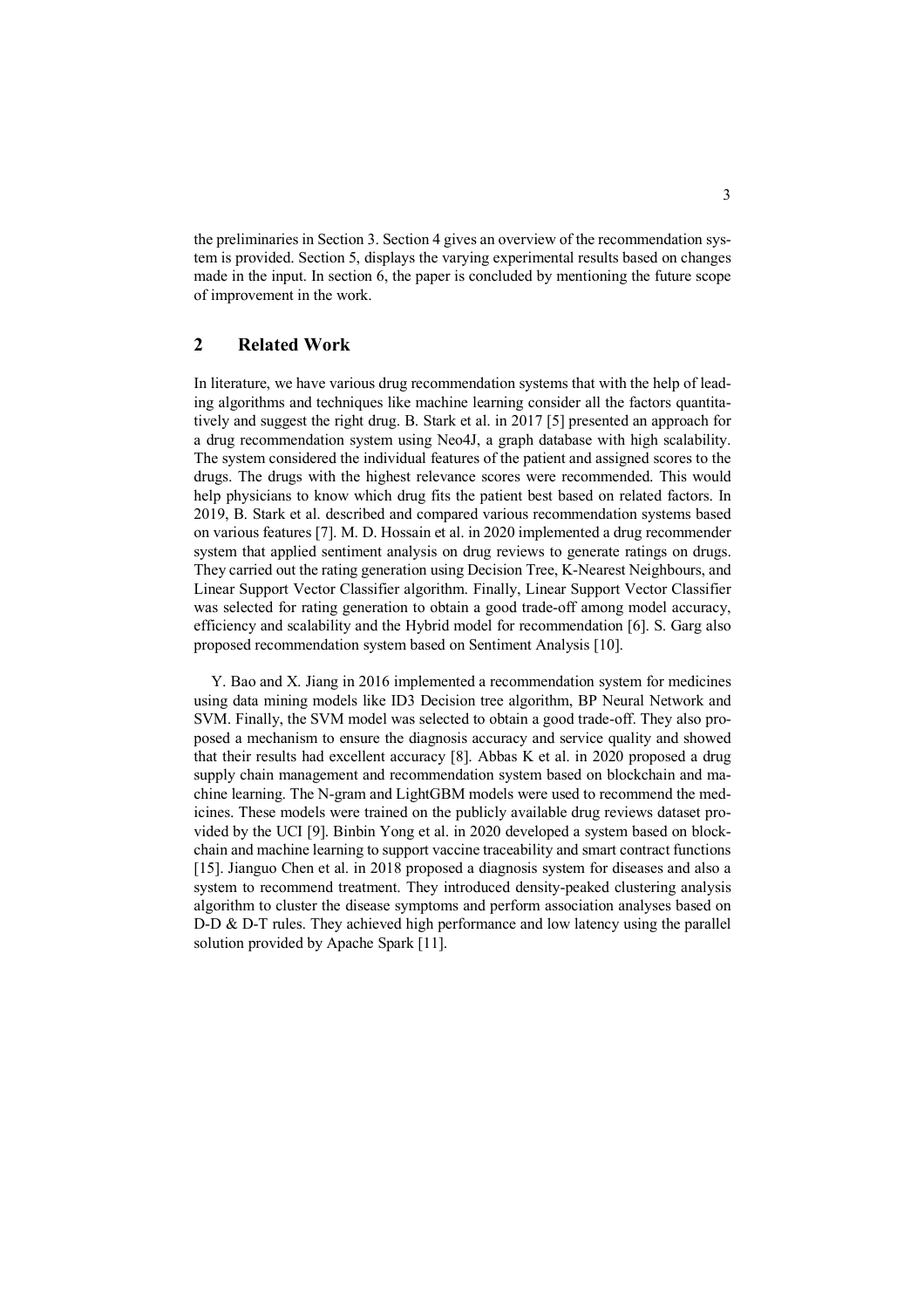the preliminaries in Section 3. Section 4 gives an overview of the recommendation system is provided. Section 5, displays the varying experimental results based on changes made in the input. In section 6, the paper is concluded by mentioning the future scope of improvement in the work.

# **2 Related Work**

In literature, we have various drug recommendation systems that with the help of leading algorithms and techniques like machine learning consider all the factors quantitatively and suggest the right drug. B. Stark et al. in 2017 [5] presented an approach for a drug recommendation system using Neo4J, a graph database with high scalability. The system considered the individual features of the patient and assigned scores to the drugs. The drugs with the highest relevance scores were recommended. This would help physicians to know which drug fits the patient best based on related factors. In 2019, B. Stark et al. described and compared various recommendation systems based on various features [7]. M. D. Hossain et al. in 2020 implemented a drug recommender system that applied sentiment analysis on drug reviews to generate ratings on drugs. They carried out the rating generation using Decision Tree, K-Nearest Neighbours, and Linear Support Vector Classifier algorithm. Finally, Linear Support Vector Classifier was selected for rating generation to obtain a good trade-off among model accuracy, efficiency and scalability and the Hybrid model for recommendation [6]. S. Garg also proposed recommendation system based on Sentiment Analysis [10].

Y. Bao and X. Jiang in 2016 implemented a recommendation system for medicines using data mining models like ID3 Decision tree algorithm, BP Neural Network and SVM. Finally, the SVM model was selected to obtain a good trade-off. They also proposed a mechanism to ensure the diagnosis accuracy and service quality and showed that their results had excellent accuracy [8]. Abbas K et al. in 2020 proposed a drug supply chain management and recommendation system based on blockchain and machine learning. The N-gram and LightGBM models were used to recommend the medicines. These models were trained on the publicly available drug reviews dataset provided by the UCI [9]. Binbin Yong et al. in 2020 developed a system based on blockchain and machine learning to support vaccine traceability and smart contract functions [15]. Jianguo Chen et al. in 2018 proposed a diagnosis system for diseases and also a system to recommend treatment. They introduced density-peaked clustering analysis algorithm to cluster the disease symptoms and perform association analyses based on D-D & D-T rules. They achieved high performance and low latency using the parallel solution provided by Apache Spark [11].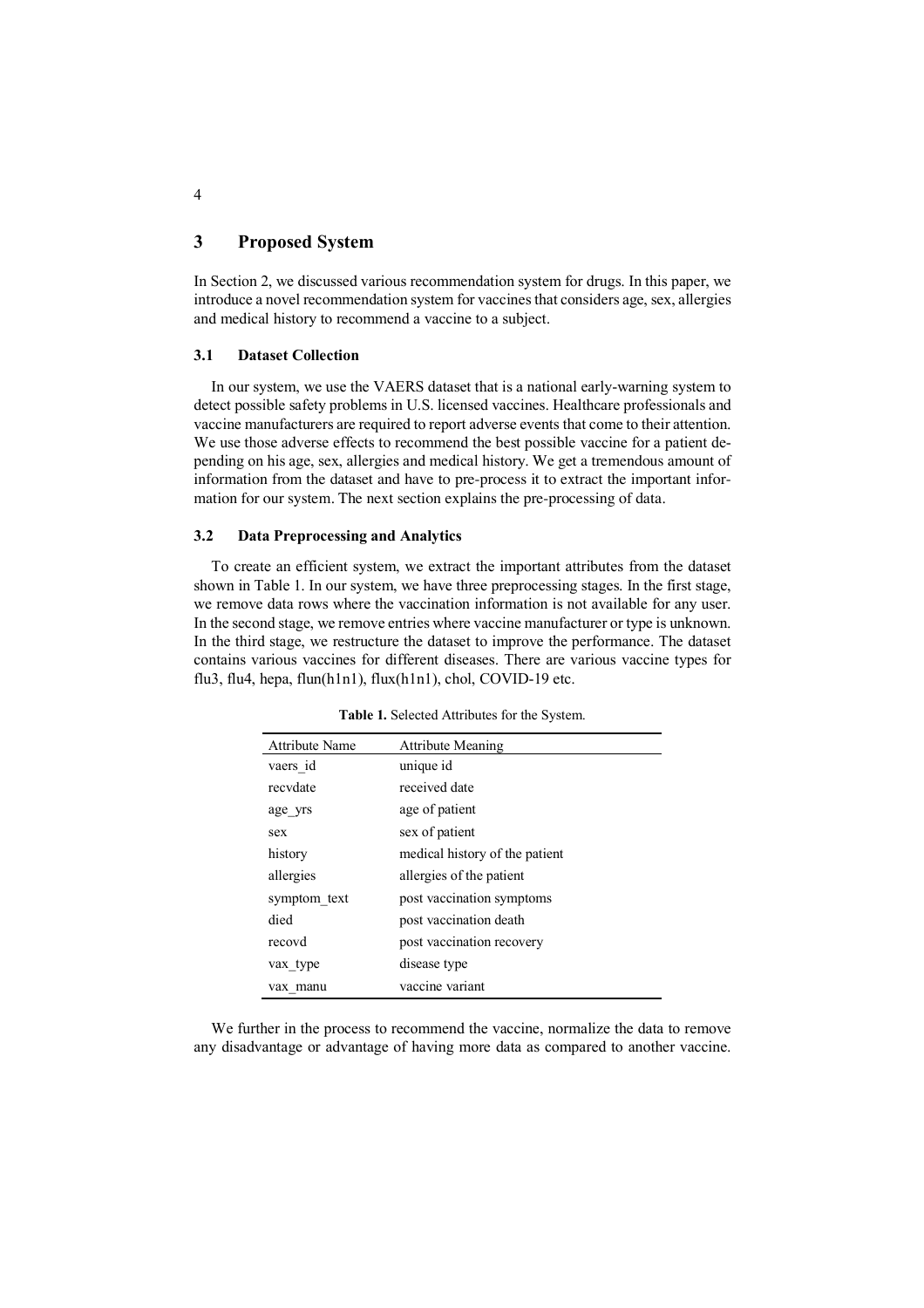# **3 Proposed System**

In Section 2, we discussed various recommendation system for drugs. In this paper, we introduce a novel recommendation system for vaccines that considers age, sex, allergies and medical history to recommend a vaccine to a subject.

### **3.1 Dataset Collection**

In our system, we use the VAERS dataset that is a national early-warning system to detect possible safety problems in U.S. licensed vaccines. Healthcare professionals and vaccine manufacturers are required to report adverse events that come to their attention. We use those adverse effects to recommend the best possible vaccine for a patient depending on his age, sex, allergies and medical history. We get a tremendous amount of information from the dataset and have to pre-process it to extract the important information for our system. The next section explains the pre-processing of data.

#### **3.2 Data Preprocessing and Analytics**

To create an efficient system, we extract the important attributes from the dataset shown in Table 1. In our system, we have three preprocessing stages. In the first stage, we remove data rows where the vaccination information is not available for any user. In the second stage, we remove entries where vaccine manufacturer or type is unknown. In the third stage, we restructure the dataset to improve the performance. The dataset contains various vaccines for different diseases. There are various vaccine types for flu3, flu4, hepa, flun(h1n1), flux(h1n1), chol, COVID-19 etc.

| Attribute Name | <b>Attribute Meaning</b>       |
|----------------|--------------------------------|
| vaers id       | unique id                      |
| recydate       | received date                  |
| age yrs        | age of patient                 |
| sex            | sex of patient                 |
| history        | medical history of the patient |
| allergies      | allergies of the patient       |
| symptom text   | post vaccination symptoms      |
| died           | post vaccination death         |
| recovd         | post vaccination recovery      |
| vax type       | disease type                   |
| vax manu       | vaccine variant                |

**Table 1.** Selected Attributes for the System.

We further in the process to recommend the vaccine, normalize the data to remove any disadvantage or advantage of having more data as compared to another vaccine.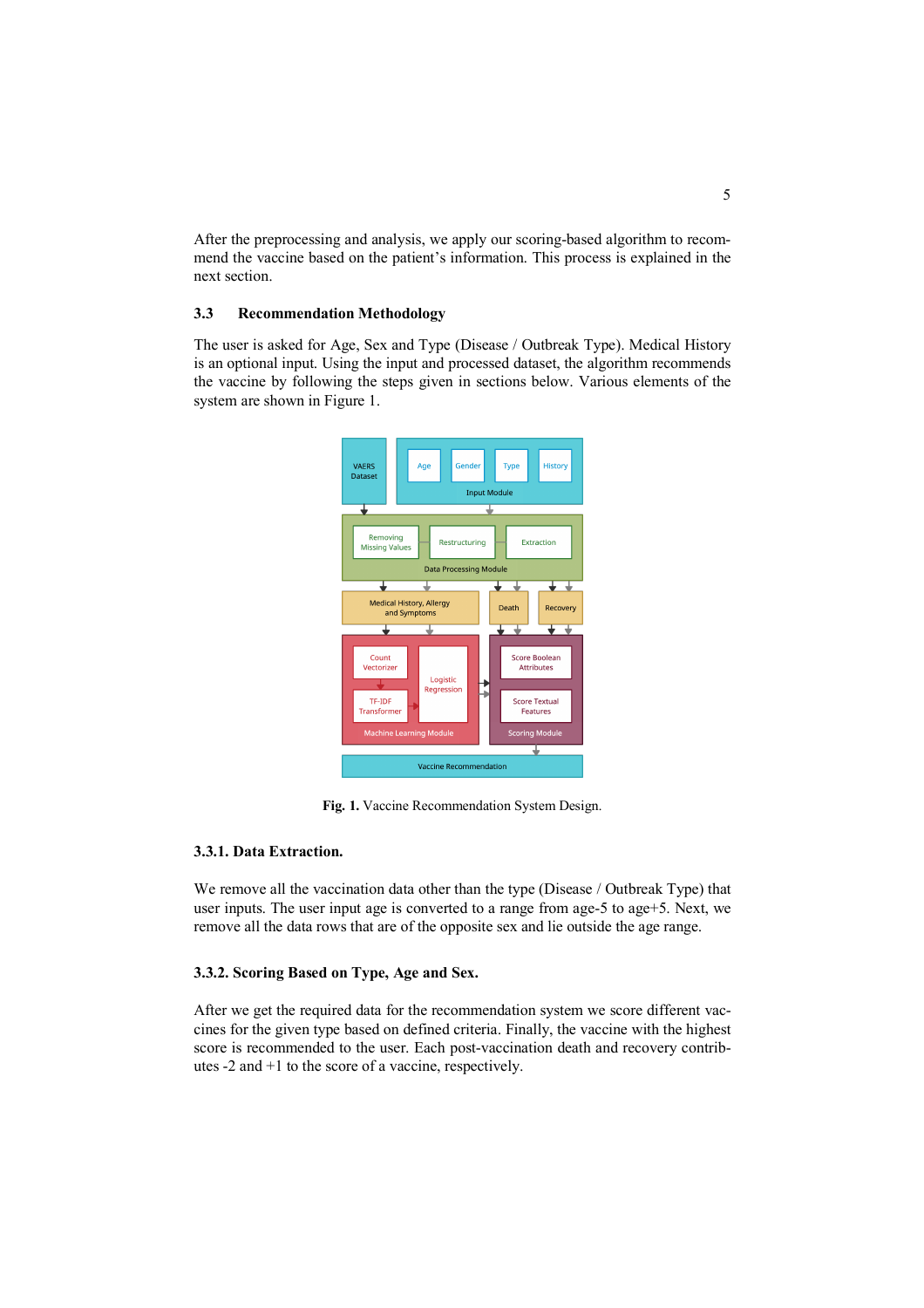After the preprocessing and analysis, we apply our scoring-based algorithm to recommend the vaccine based on the patient's information. This process is explained in the next section.

#### **3.3 Recommendation Methodology**

The user is asked for Age, Sex and Type (Disease / Outbreak Type). Medical History is an optional input. Using the input and processed dataset, the algorithm recommends the vaccine by following the steps given in sections below. Various elements of the system are shown in Figure 1.



**Fig. 1.** Vaccine Recommendation System Design.

#### **3.3.1. Data Extraction.**

We remove all the vaccination data other than the type (Disease / Outbreak Type) that user inputs. The user input age is converted to a range from age-5 to age+5. Next, we remove all the data rows that are of the opposite sex and lie outside the age range.

## **3.3.2. Scoring Based on Type, Age and Sex.**

After we get the required data for the recommendation system we score different vaccines for the given type based on defined criteria. Finally, the vaccine with the highest score is recommended to the user. Each post-vaccination death and recovery contributes -2 and +1 to the score of a vaccine, respectively.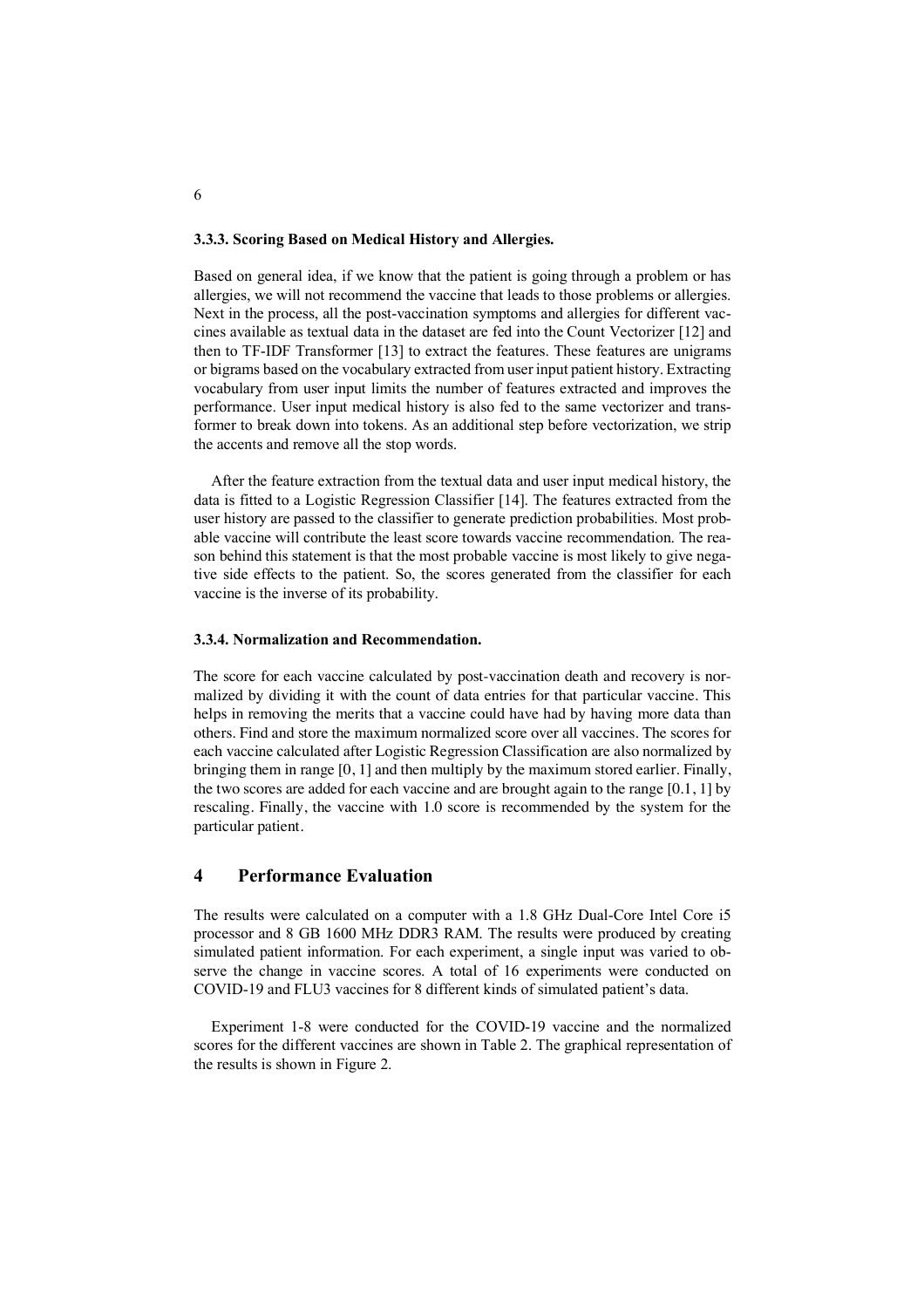#### **3.3.3. Scoring Based on Medical History and Allergies.**

Based on general idea, if we know that the patient is going through a problem or has allergies, we will not recommend the vaccine that leads to those problems or allergies. Next in the process, all the post-vaccination symptoms and allergies for different vaccines available as textual data in the dataset are fed into the Count Vectorizer [12] and then to TF-IDF Transformer [13] to extract the features. These features are unigrams or bigrams based on the vocabulary extracted from user input patient history. Extracting vocabulary from user input limits the number of features extracted and improves the performance. User input medical history is also fed to the same vectorizer and transformer to break down into tokens. As an additional step before vectorization, we strip the accents and remove all the stop words.

After the feature extraction from the textual data and user input medical history, the data is fitted to a Logistic Regression Classifier [14]. The features extracted from the user history are passed to the classifier to generate prediction probabilities. Most probable vaccine will contribute the least score towards vaccine recommendation. The reason behind this statement is that the most probable vaccine is most likely to give negative side effects to the patient. So, the scores generated from the classifier for each vaccine is the inverse of its probability.

#### **3.3.4. Normalization and Recommendation.**

The score for each vaccine calculated by post-vaccination death and recovery is normalized by dividing it with the count of data entries for that particular vaccine. This helps in removing the merits that a vaccine could have had by having more data than others. Find and store the maximum normalized score over all vaccines. The scores for each vaccine calculated after Logistic Regression Classification are also normalized by bringing them in range [0, 1] and then multiply by the maximum stored earlier. Finally, the two scores are added for each vaccine and are brought again to the range [0.1, 1] by rescaling. Finally, the vaccine with 1.0 score is recommended by the system for the particular patient.

# **4 Performance Evaluation**

The results were calculated on a computer with a 1.8 GHz Dual-Core Intel Core i5 processor and 8 GB 1600 MHz DDR3 RAM. The results were produced by creating simulated patient information. For each experiment, a single input was varied to observe the change in vaccine scores. A total of 16 experiments were conducted on COVID-19 and FLU3 vaccines for 8 different kinds of simulated patient's data.

Experiment 1-8 were conducted for the COVID-19 vaccine and the normalized scores for the different vaccines are shown in Table 2. The graphical representation of the results is shown in Figure 2.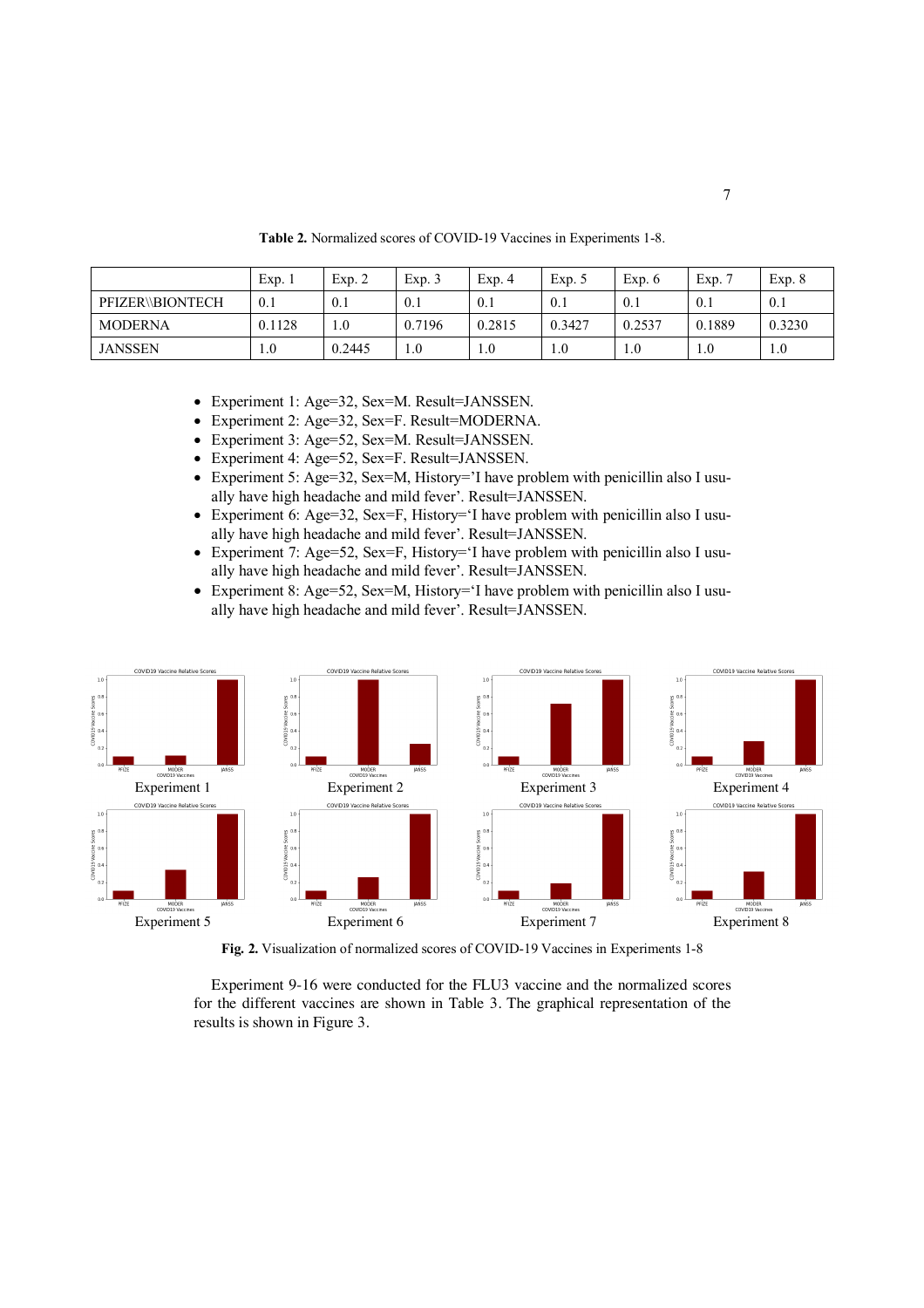|                         | Exp.    | Exp.2            | Exp.3  | Exp.4   | Exp. $5$ | Exp. $6$ | Exp.   | Exp.8   |
|-------------------------|---------|------------------|--------|---------|----------|----------|--------|---------|
| <b>PFIZER\\BIONTECH</b> | 0.1     | 0.1              | 0.1    | 0.1     | 0.1      | 0.1      | 0.1    | 0.1     |
| <b>MODERNA</b>          | 0.1128  | 1.0 <sub>1</sub> | 0.7196 | 0.2815  | 0.3427   | 0.2537   | 0.1889 | 0.3230  |
| <b>JANSSEN</b>          | $1.0\,$ | 0.2445           | 1.0    | $1.0\,$ | 0.1      | 1.0      | 1.0    | $1.0\,$ |

**Table 2.** Normalized scores of COVID-19 Vaccines in Experiments 1-8.

- Experiment 1: Age=32, Sex=M. Result=JANSSEN.
- Experiment 2: Age=32, Sex=F. Result=MODERNA.
- Experiment 3: Age=52, Sex=M. Result=JANSSEN.
- Experiment 4: Age=52, Sex=F. Result=JANSSEN.
- Experiment 5: Age=32, Sex=M, History='I have problem with penicillin also I usually have high headache and mild fever'. Result=JANSSEN.
- Experiment 6: Age=32, Sex=F, History='I have problem with penicillin also I usually have high headache and mild fever'. Result=JANSSEN.
- Experiment 7: Age=52, Sex=F, History='I have problem with penicillin also I usually have high headache and mild fever'. Result=JANSSEN.
- Experiment 8: Age=52, Sex=M, History='I have problem with penicillin also I usually have high headache and mild fever'. Result=JANSSEN.



**Fig. 2.** Visualization of normalized scores of COVID-19 Vaccines in Experiments 1-8

Experiment 9-16 were conducted for the FLU3 vaccine and the normalized scores for the different vaccines are shown in Table 3. The graphical representation of the results is shown in Figure 3.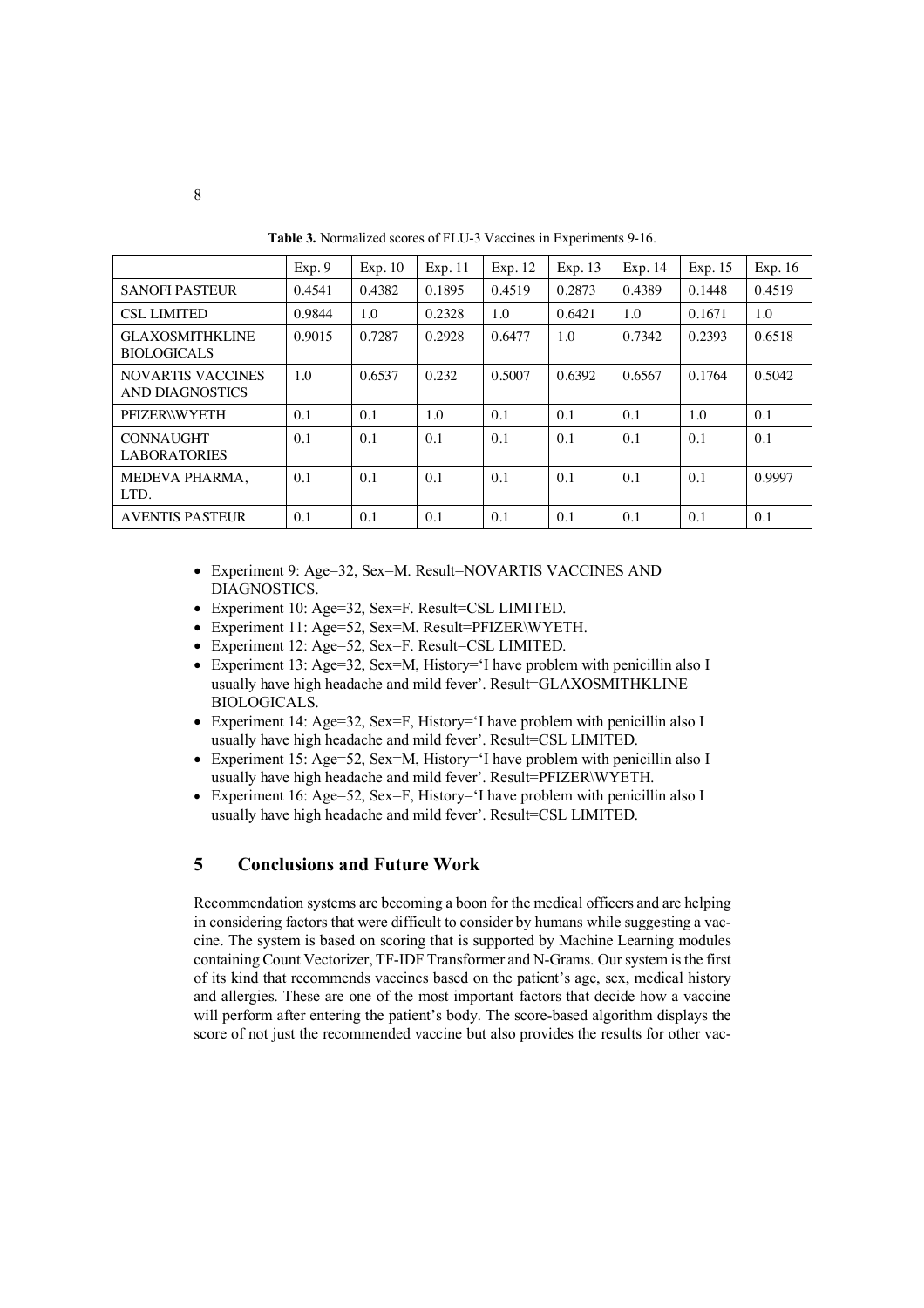|                                              | Exp.9  | Exp. 10 | Exp.11 | Exp. 12 | Exp.13 | Exp. 14 | Exp.15 | Exp. 16 |
|----------------------------------------------|--------|---------|--------|---------|--------|---------|--------|---------|
| <b>SANOFI PASTEUR</b>                        | 0.4541 | 0.4382  | 0.1895 | 0.4519  | 0.2873 | 0.4389  | 0.1448 | 0.4519  |
| <b>CSL LIMITED</b>                           | 0.9844 | 1.0     | 0.2328 | 1.0     | 0.6421 | 1.0     | 0.1671 | 1.0     |
| <b>GLAXOSMITHKLINE</b><br><b>BIOLOGICALS</b> | 0.9015 | 0.7287  | 0.2928 | 0.6477  | 1.0    | 0.7342  | 0.2393 | 0.6518  |
| NOVARTIS VACCINES<br>AND DIAGNOSTICS         | 1.0    | 0.6537  | 0.232  | 0.5007  | 0.6392 | 0.6567  | 0.1764 | 0.5042  |
| <b>PFIZER\\WYETH</b>                         | 0.1    | 0.1     | 1.0    | 0.1     | 0.1    | 0.1     | 1.0    | 0.1     |
| <b>CONNAUGHT</b><br><b>LABORATORIES</b>      | 0.1    | 0.1     | 0.1    | 0.1     | 0.1    | 0.1     | 0.1    | 0.1     |
| MEDEVA PHARMA.<br>LTD.                       | 0.1    | 0.1     | 0.1    | 0.1     | 0.1    | 0.1     | 0.1    | 0.9997  |
| <b>AVENTIS PASTEUR</b>                       | 0.1    | 0.1     | 0.1    | 0.1     | 0.1    | 0.1     | 0.1    | 0.1     |

**Table 3.** Normalized scores of FLU-3 Vaccines in Experiments 9-16.

- Experiment 9: Age=32, Sex=M. Result=NOVARTIS VACCINES AND DIAGNOSTICS.
- Experiment 10: Age=32, Sex=F. Result=CSL LIMITED.
- Experiment 11: Age=52, Sex=M. Result=PFIZER\WYETH.
- Experiment 12: Age=52, Sex=F. Result=CSL LIMITED.
- Experiment 13: Age=32, Sex=M, History='I have problem with penicillin also I usually have high headache and mild fever'. Result=GLAXOSMITHKLINE BIOLOGICALS.
- Experiment 14: Age=32, Sex=F, History='I have problem with penicillin also I usually have high headache and mild fever'. Result=CSL LIMITED.
- Experiment 15: Age=52, Sex=M, History='I have problem with penicillin also I usually have high headache and mild fever'. Result=PFIZER\WYETH.
- Experiment 16: Age=52, Sex=F, History='I have problem with penicillin also I usually have high headache and mild fever'. Result=CSL LIMITED.

## **5 Conclusions and Future Work**

Recommendation systems are becoming a boon for the medical officers and are helping in considering factors that were difficult to consider by humans while suggesting a vaccine. The system is based on scoring that is supported by Machine Learning modules containing Count Vectorizer, TF-IDF Transformer and N-Grams. Our system is the first of its kind that recommends vaccines based on the patient's age, sex, medical history and allergies. These are one of the most important factors that decide how a vaccine will perform after entering the patient's body. The score-based algorithm displays the score of not just the recommended vaccine but also provides the results for other vac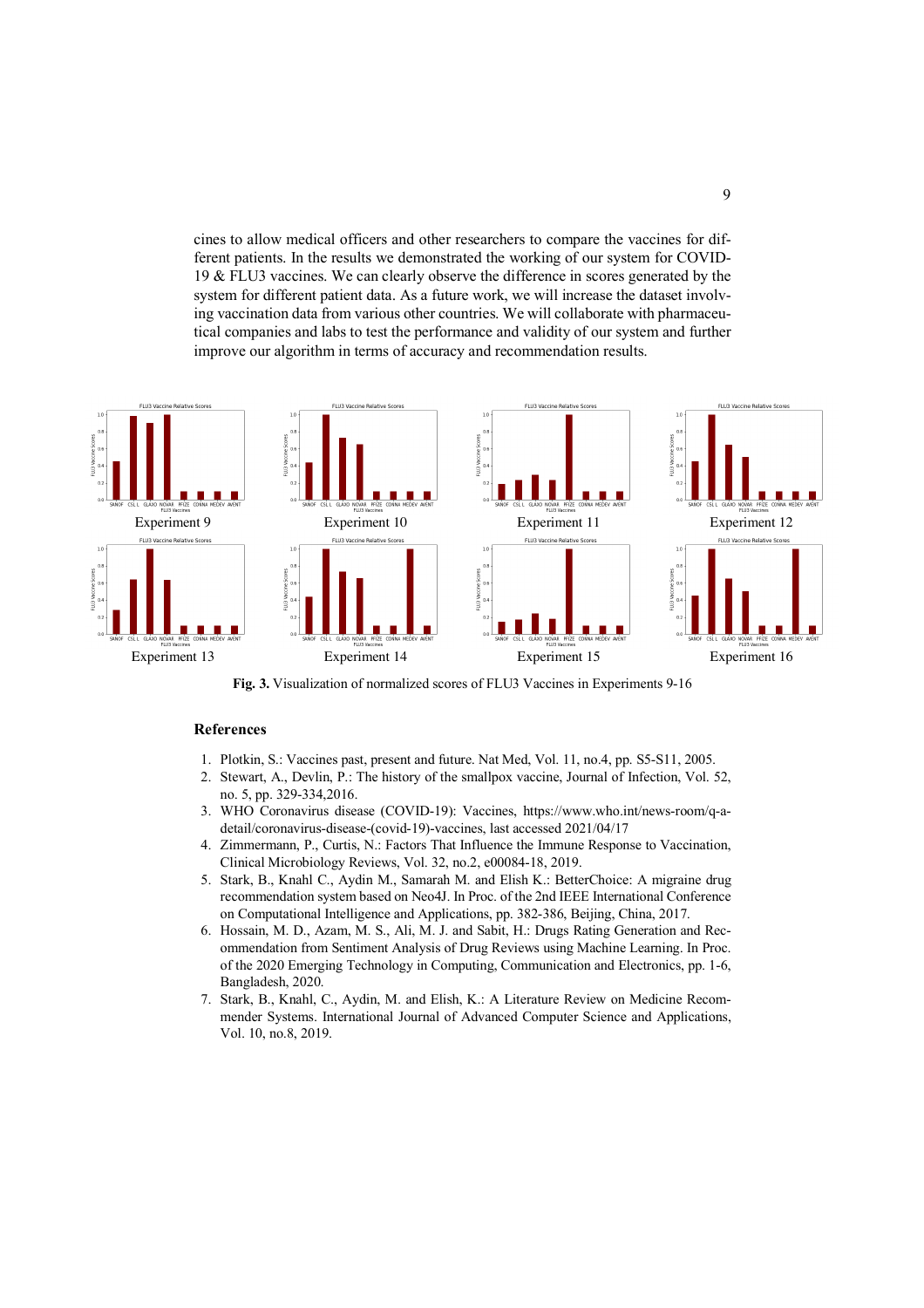cines to allow medical officers and other researchers to compare the vaccines for different patients. In the results we demonstrated the working of our system for COVID-19 & FLU3 vaccines. We can clearly observe the difference in scores generated by the system for different patient data. As a future work, we will increase the dataset involving vaccination data from various other countries. We will collaborate with pharmaceutical companies and labs to test the performance and validity of our system and further improve our algorithm in terms of accuracy and recommendation results.



**Fig. 3.** Visualization of normalized scores of FLU3 Vaccines in Experiments 9-16

#### **References**

- 1. Plotkin, S.: Vaccines past, present and future. Nat Med, Vol. 11, no.4, pp. S5-S11, 2005.
- 2. Stewart, A., Devlin, P.: The history of the smallpox vaccine, Journal of Infection, Vol. 52, no. 5, pp. 329-334,2016.
- 3. WHO Coronavirus disease (COVID-19): Vaccines, https://www.who.int/news-room/q-adetail/coronavirus-disease-(covid-19)-vaccines, last accessed 2021/04/17
- 4. Zimmermann, P., Curtis, N.: Factors That Influence the Immune Response to Vaccination, Clinical Microbiology Reviews, Vol. 32, no.2, e00084-18, 2019.
- 5. Stark, B., Knahl C., Aydin M., Samarah M. and Elish K.: BetterChoice: A migraine drug recommendation system based on Neo4J. In Proc. of the 2nd IEEE International Conference on Computational Intelligence and Applications, pp. 382-386, Beijing, China, 2017.
- 6. Hossain, M. D., Azam, M. S., Ali, M. J. and Sabit, H.: Drugs Rating Generation and Recommendation from Sentiment Analysis of Drug Reviews using Machine Learning. In Proc. of the 2020 Emerging Technology in Computing, Communication and Electronics, pp. 1-6, Bangladesh, 2020.
- 7. Stark, B., Knahl, C., Aydin, M. and Elish, K.: A Literature Review on Medicine Recommender Systems. International Journal of Advanced Computer Science and Applications, Vol. 10, no.8, 2019.